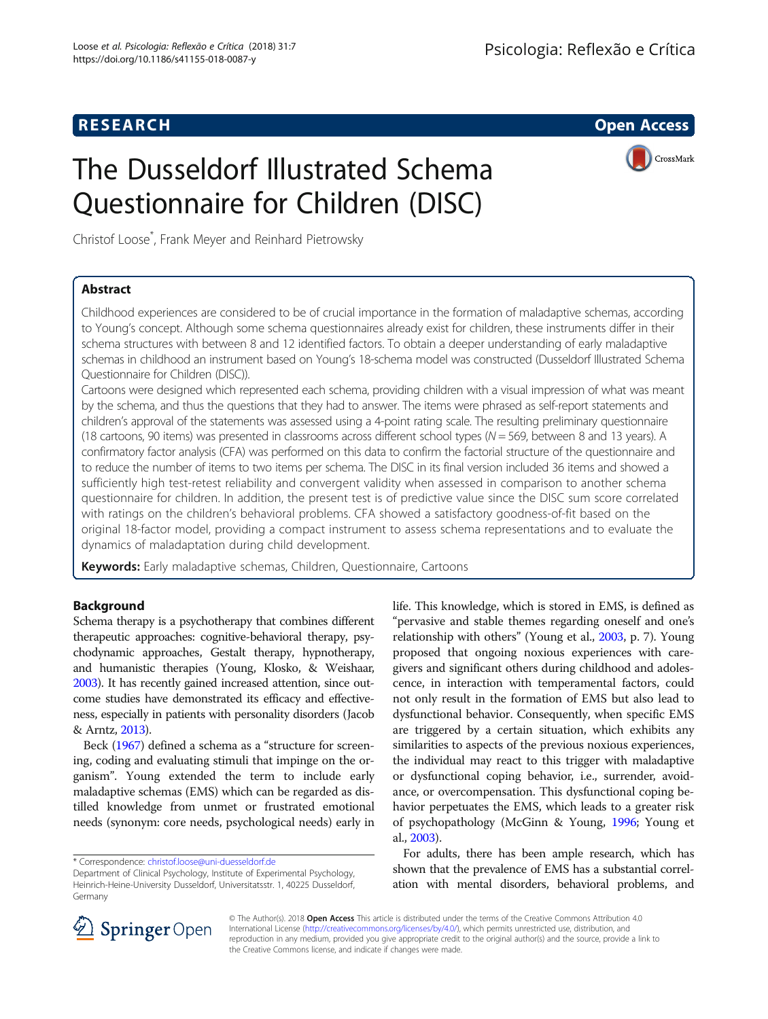# **RESEARCH CHILD CONTROL** CONTROL CONTROL CONTROL CONTROL CONTROL CONTROL CONTROL CONTROL CONTROL CONTROL CONTROL

# The Dusseldorf Illustrated Schema Questionnaire for Children (DISC)



Christof Loose\* , Frank Meyer and Reinhard Pietrowsky

# Abstract

Childhood experiences are considered to be of crucial importance in the formation of maladaptive schemas, according to Young's concept. Although some schema questionnaires already exist for children, these instruments differ in their schema structures with between 8 and 12 identified factors. To obtain a deeper understanding of early maladaptive schemas in childhood an instrument based on Young's 18-schema model was constructed (Dusseldorf Illustrated Schema Questionnaire for Children (DISC)).

Cartoons were designed which represented each schema, providing children with a visual impression of what was meant by the schema, and thus the questions that they had to answer. The items were phrased as self-report statements and children's approval of the statements was assessed using a 4-point rating scale. The resulting preliminary questionnaire (18 cartoons, 90 items) was presented in classrooms across different school types (N = 569, between 8 and 13 years). A confirmatory factor analysis (CFA) was performed on this data to confirm the factorial structure of the questionnaire and to reduce the number of items to two items per schema. The DISC in its final version included 36 items and showed a sufficiently high test-retest reliability and convergent validity when assessed in comparison to another schema questionnaire for children. In addition, the present test is of predictive value since the DISC sum score correlated with ratings on the children's behavioral problems. CFA showed a satisfactory goodness-of-fit based on the original 18-factor model, providing a compact instrument to assess schema representations and to evaluate the dynamics of maladaptation during child development.

Keywords: Early maladaptive schemas, Children, Questionnaire, Cartoons

# Background

Schema therapy is a psychotherapy that combines different therapeutic approaches: cognitive-behavioral therapy, psychodynamic approaches, Gestalt therapy, hypnotherapy, and humanistic therapies (Young, Klosko, & Weishaar, [2003\)](#page-11-0). It has recently gained increased attention, since outcome studies have demonstrated its efficacy and effectiveness, especially in patients with personality disorders (Jacob & Arntz, [2013\)](#page-10-0).

Beck ([1967](#page-10-0)) defined a schema as a "structure for screening, coding and evaluating stimuli that impinge on the organism". Young extended the term to include early maladaptive schemas (EMS) which can be regarded as distilled knowledge from unmet or frustrated emotional needs (synonym: core needs, psychological needs) early in

life. This knowledge, which is stored in EMS, is defined as "pervasive and stable themes regarding oneself and one's relationship with others" (Young et al., [2003,](#page-11-0) p. 7). Young proposed that ongoing noxious experiences with caregivers and significant others during childhood and adolescence, in interaction with temperamental factors, could not only result in the formation of EMS but also lead to dysfunctional behavior. Consequently, when specific EMS are triggered by a certain situation, which exhibits any similarities to aspects of the previous noxious experiences, the individual may react to this trigger with maladaptive or dysfunctional coping behavior, i.e., surrender, avoidance, or overcompensation. This dysfunctional coping behavior perpetuates the EMS, which leads to a greater risk of psychopathology (McGinn & Young, [1996;](#page-10-0) Young et al., [2003\)](#page-11-0).

For adults, there has been ample research, which has shown that the prevalence of EMS has a substantial correlation with mental disorders, behavioral problems, and



© The Author(s). 2018 Open Access This article is distributed under the terms of the Creative Commons Attribution 4.0 International License ([http://creativecommons.org/licenses/by/4.0/\)](http://creativecommons.org/licenses/by/4.0/), which permits unrestricted use, distribution, and reproduction in any medium, provided you give appropriate credit to the original author(s) and the source, provide a link to the Creative Commons license, and indicate if changes were made.

<sup>\*</sup> Correspondence: [christof.loose@uni-duesseldorf.de](mailto:christof.loose@uni-duesseldorf.de)

Department of Clinical Psychology, Institute of Experimental Psychology, Heinrich-Heine-University Dusseldorf, Universitatsstr. 1, 40225 Dusseldorf, Germany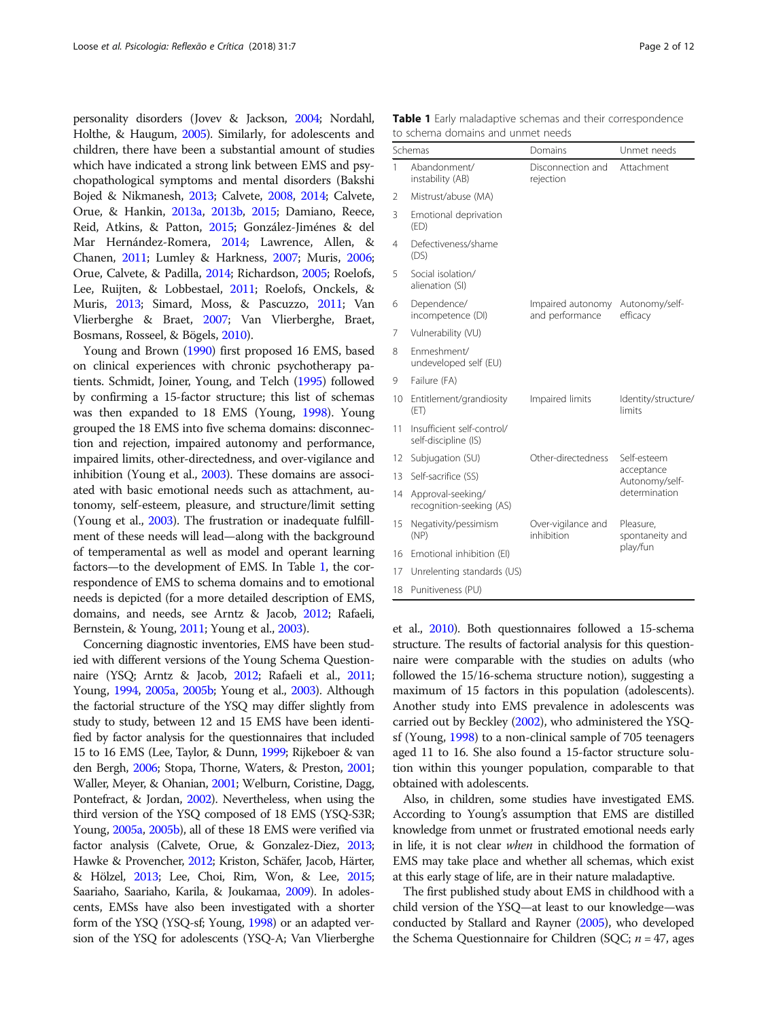<span id="page-1-0"></span>personality disorders (Jovev & Jackson, [2004;](#page-10-0) Nordahl, Holthe, & Haugum, [2005](#page-10-0)). Similarly, for adolescents and children, there have been a substantial amount of studies which have indicated a strong link between EMS and psychopathological symptoms and mental disorders (Bakshi Bojed & Nikmanesh, [2013;](#page-10-0) Calvete, [2008](#page-10-0), [2014;](#page-10-0) Calvete, Orue, & Hankin, [2013a,](#page-10-0) [2013b](#page-10-0), [2015;](#page-10-0) Damiano, Reece, Reid, Atkins, & Patton, [2015](#page-10-0); González-Jiménes & del Mar Hernández-Romera, [2014](#page-10-0); Lawrence, Allen, & Chanen, [2011;](#page-10-0) Lumley & Harkness, [2007](#page-10-0); Muris, [2006](#page-10-0); Orue, Calvete, & Padilla, [2014;](#page-10-0) Richardson, [2005;](#page-10-0) Roelofs, Lee, Ruijten, & Lobbestael, [2011;](#page-10-0) Roelofs, Onckels, & Muris, [2013](#page-10-0); Simard, Moss, & Pascuzzo, [2011;](#page-10-0) Van Vlierberghe & Braet, [2007;](#page-11-0) Van Vlierberghe, Braet, Bosmans, Rosseel, & Bögels, [2010](#page-11-0)).

Young and Brown [\(1990](#page-11-0)) first proposed 16 EMS, based on clinical experiences with chronic psychotherapy patients. Schmidt, Joiner, Young, and Telch [\(1995](#page-10-0)) followed by confirming a 15-factor structure; this list of schemas was then expanded to 18 EMS (Young, [1998\)](#page-11-0). Young grouped the 18 EMS into five schema domains: disconnection and rejection, impaired autonomy and performance, impaired limits, other-directedness, and over-vigilance and inhibition (Young et al., [2003](#page-11-0)). These domains are associated with basic emotional needs such as attachment, autonomy, self-esteem, pleasure, and structure/limit setting (Young et al., [2003](#page-11-0)). The frustration or inadequate fulfillment of these needs will lead—along with the background of temperamental as well as model and operant learning factors—to the development of EMS. In Table 1, the correspondence of EMS to schema domains and to emotional needs is depicted (for a more detailed description of EMS, domains, and needs, see Arntz & Jacob, [2012;](#page-10-0) Rafaeli, Bernstein, & Young, [2011;](#page-10-0) Young et al., [2003\)](#page-11-0).

Concerning diagnostic inventories, EMS have been studied with different versions of the Young Schema Questionnaire (YSQ; Arntz & Jacob, [2012](#page-10-0); Rafaeli et al., [2011](#page-10-0); Young, [1994](#page-11-0), [2005a](#page-11-0), [2005b;](#page-11-0) Young et al., [2003\)](#page-11-0). Although the factorial structure of the YSQ may differ slightly from study to study, between 12 and 15 EMS have been identified by factor analysis for the questionnaires that included 15 to 16 EMS (Lee, Taylor, & Dunn, [1999;](#page-10-0) Rijkeboer & van den Bergh, [2006](#page-10-0); Stopa, Thorne, Waters, & Preston, [2001](#page-11-0); Waller, Meyer, & Ohanian, [2001](#page-11-0); Welburn, Coristine, Dagg, Pontefract, & Jordan, [2002\)](#page-11-0). Nevertheless, when using the third version of the YSQ composed of 18 EMS (YSQ-S3R; Young, [2005a](#page-11-0), [2005b](#page-11-0)), all of these 18 EMS were verified via factor analysis (Calvete, Orue, & Gonzalez-Diez, [2013](#page-10-0); Hawke & Provencher, [2012;](#page-10-0) Kriston, Schäfer, Jacob, Härter, & Hölzel, [2013;](#page-10-0) Lee, Choi, Rim, Won, & Lee, [2015](#page-10-0); Saariaho, Saariaho, Karila, & Joukamaa, [2009\)](#page-10-0). In adolescents, EMSs have also been investigated with a shorter form of the YSQ (YSQ-sf; Young, [1998\)](#page-11-0) or an adapted version of the YSQ for adolescents (YSQ-A; Van Vlierberghe

Table 1 Early maladaptive schemas and their correspondence to schema domains and unmet needs

|    | Schemas                                            | Domains                              | Unmet needs                   |  |  |  |  |
|----|----------------------------------------------------|--------------------------------------|-------------------------------|--|--|--|--|
| 1  | Abandonment/<br>instability (AB)                   | Disconnection and<br>rejection       | Attachment                    |  |  |  |  |
| 2  | Mistrust/abuse (MA)                                |                                      |                               |  |  |  |  |
| 3  | Emotional deprivation<br>(ED)                      |                                      |                               |  |  |  |  |
| 4  | Defectiveness/shame<br>(DS)                        |                                      |                               |  |  |  |  |
| 5  | Social isolation/<br>alienation (SI)               |                                      |                               |  |  |  |  |
| 6  | Dependence/<br>incompetence (DI)                   | Impaired autonomy<br>and performance | Autonomy/self-<br>efficacy    |  |  |  |  |
| 7  | Vulnerability (VU)                                 |                                      |                               |  |  |  |  |
| 8  | Fnmeshment/<br>undeveloped self (EU)               |                                      |                               |  |  |  |  |
| 9  | Failure (FA)                                       |                                      |                               |  |  |  |  |
| 10 | Entitlement/grandiosity<br>(ET)                    | Impaired limits                      | Identity/structure/<br>limits |  |  |  |  |
| 11 | Insufficient self-control/<br>self-discipline (IS) |                                      |                               |  |  |  |  |
| 12 | Subjugation (SU)                                   | Other-directedness                   | Self-esteem                   |  |  |  |  |
| 13 | Self-sacrifice (SS)                                |                                      | acceptance<br>Autonomy/self-  |  |  |  |  |
| 14 | Approval-seeking/<br>recognition-seeking (AS)      |                                      | determination                 |  |  |  |  |
| 15 | Negativity/pessimism<br>(NP)                       | Over-vigilance and<br>inhibition     | Pleasure,<br>spontaneity and  |  |  |  |  |
| 16 | Emotional inhibition (EI)                          |                                      | play/fun                      |  |  |  |  |
| 17 | Unrelenting standards (US)                         |                                      |                               |  |  |  |  |
| 18 | Punitiveness (PU)                                  |                                      |                               |  |  |  |  |

et al., [2010\)](#page-11-0). Both questionnaires followed a 15-schema structure. The results of factorial analysis for this questionnaire were comparable with the studies on adults (who followed the 15/16-schema structure notion), suggesting a maximum of 15 factors in this population (adolescents). Another study into EMS prevalence in adolescents was carried out by Beckley ([2002](#page-10-0)), who administered the YSQsf (Young, [1998](#page-11-0)) to a non-clinical sample of 705 teenagers aged 11 to 16. She also found a 15-factor structure solution within this younger population, comparable to that obtained with adolescents.

Also, in children, some studies have investigated EMS. According to Young's assumption that EMS are distilled knowledge from unmet or frustrated emotional needs early in life, it is not clear when in childhood the formation of EMS may take place and whether all schemas, which exist at this early stage of life, are in their nature maladaptive.

The first published study about EMS in childhood with a child version of the YSQ—at least to our knowledge—was conducted by Stallard and Rayner ([2005\)](#page-11-0), who developed the Schema Questionnaire for Children (SQC;  $n = 47$ , ages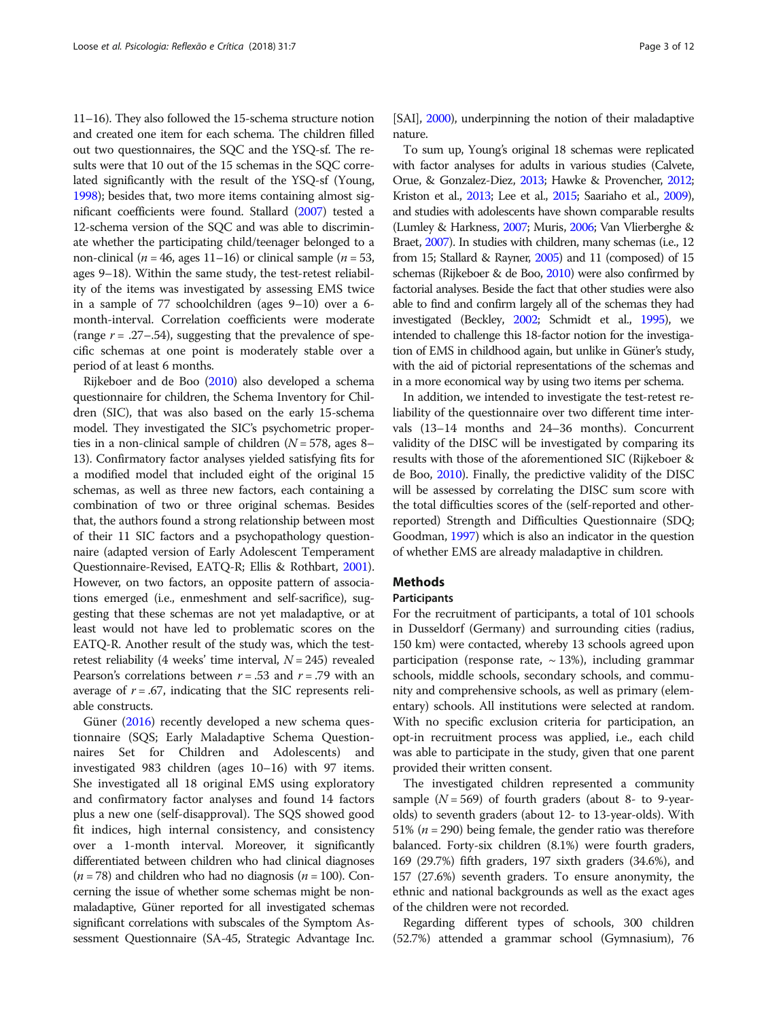11–16). They also followed the 15-schema structure notion and created one item for each schema. The children filled out two questionnaires, the SQC and the YSQ-sf. The results were that 10 out of the 15 schemas in the SQC correlated significantly with the result of the YSQ-sf (Young, [1998\)](#page-11-0); besides that, two more items containing almost significant coefficients were found. Stallard [\(2007](#page-11-0)) tested a 12-schema version of the SQC and was able to discriminate whether the participating child/teenager belonged to a non-clinical ( $n = 46$ , ages 11–16) or clinical sample ( $n = 53$ , ages 9–18). Within the same study, the test-retest reliability of the items was investigated by assessing EMS twice in a sample of 77 schoolchildren (ages 9–10) over a 6 month-interval. Correlation coefficients were moderate (range  $r = .27-.54$ ), suggesting that the prevalence of specific schemas at one point is moderately stable over a period of at least 6 months.

Rijkeboer and de Boo ([2010](#page-10-0)) also developed a schema questionnaire for children, the Schema Inventory for Children (SIC), that was also based on the early 15-schema model. They investigated the SIC's psychometric properties in a non-clinical sample of children  $(N = 578, 8)$  ages 8– 13). Confirmatory factor analyses yielded satisfying fits for a modified model that included eight of the original 15 schemas, as well as three new factors, each containing a combination of two or three original schemas. Besides that, the authors found a strong relationship between most of their 11 SIC factors and a psychopathology questionnaire (adapted version of Early Adolescent Temperament Questionnaire-Revised, EATQ-R; Ellis & Rothbart, [2001](#page-10-0)). However, on two factors, an opposite pattern of associations emerged (i.e., enmeshment and self-sacrifice), suggesting that these schemas are not yet maladaptive, or at least would not have led to problematic scores on the EATQ-R. Another result of the study was, which the testretest reliability (4 weeks' time interval,  $N = 245$ ) revealed Pearson's correlations between  $r = .53$  and  $r = .79$  with an average of  $r = .67$ , indicating that the SIC represents reliable constructs.

Güner ([2016](#page-10-0)) recently developed a new schema questionnaire (SQS; Early Maladaptive Schema Questionnaires Set for Children and Adolescents) and investigated 983 children (ages 10–16) with 97 items. She investigated all 18 original EMS using exploratory and confirmatory factor analyses and found 14 factors plus a new one (self-disapproval). The SQS showed good fit indices, high internal consistency, and consistency over a 1-month interval. Moreover, it significantly differentiated between children who had clinical diagnoses  $(n = 78)$  and children who had no diagnosis  $(n = 100)$ . Concerning the issue of whether some schemas might be nonmaladaptive, Güner reported for all investigated schemas significant correlations with subscales of the Symptom Assessment Questionnaire (SA-45, Strategic Advantage Inc.

[SAI], [2000\)](#page-11-0), underpinning the notion of their maladaptive nature.

To sum up, Young's original 18 schemas were replicated with factor analyses for adults in various studies (Calvete, Orue, & Gonzalez-Diez, [2013](#page-10-0); Hawke & Provencher, [2012](#page-10-0); Kriston et al., [2013;](#page-10-0) Lee et al., [2015](#page-10-0); Saariaho et al., [2009](#page-10-0)), and studies with adolescents have shown comparable results (Lumley & Harkness, [2007;](#page-10-0) Muris, [2006;](#page-10-0) Van Vlierberghe & Braet, [2007](#page-11-0)). In studies with children, many schemas (i.e., 12 from 15; Stallard & Rayner, [2005\)](#page-11-0) and 11 (composed) of 15 schemas (Rijkeboer & de Boo, [2010](#page-10-0)) were also confirmed by factorial analyses. Beside the fact that other studies were also able to find and confirm largely all of the schemas they had investigated (Beckley, [2002;](#page-10-0) Schmidt et al., [1995\)](#page-10-0), we intended to challenge this 18-factor notion for the investigation of EMS in childhood again, but unlike in Güner's study, with the aid of pictorial representations of the schemas and in a more economical way by using two items per schema.

In addition, we intended to investigate the test-retest reliability of the questionnaire over two different time intervals (13–14 months and 24–36 months). Concurrent validity of the DISC will be investigated by comparing its results with those of the aforementioned SIC (Rijkeboer & de Boo, [2010](#page-10-0)). Finally, the predictive validity of the DISC will be assessed by correlating the DISC sum score with the total difficulties scores of the (self-reported and otherreported) Strength and Difficulties Questionnaire (SDQ; Goodman, [1997\)](#page-10-0) which is also an indicator in the question of whether EMS are already maladaptive in children.

## Methods

#### Participants

For the recruitment of participants, a total of 101 schools in Dusseldorf (Germany) and surrounding cities (radius, 150 km) were contacted, whereby 13 schools agreed upon participation (response rate,  $\sim$  13%), including grammar schools, middle schools, secondary schools, and community and comprehensive schools, as well as primary (elementary) schools. All institutions were selected at random. With no specific exclusion criteria for participation, an opt-in recruitment process was applied, i.e., each child was able to participate in the study, given that one parent provided their written consent.

The investigated children represented a community sample  $(N = 569)$  of fourth graders (about 8- to 9-yearolds) to seventh graders (about 12- to 13-year-olds). With 51% ( $n = 290$ ) being female, the gender ratio was therefore balanced. Forty-six children (8.1%) were fourth graders, 169 (29.7%) fifth graders, 197 sixth graders (34.6%), and 157 (27.6%) seventh graders. To ensure anonymity, the ethnic and national backgrounds as well as the exact ages of the children were not recorded.

Regarding different types of schools, 300 children (52.7%) attended a grammar school (Gymnasium), 76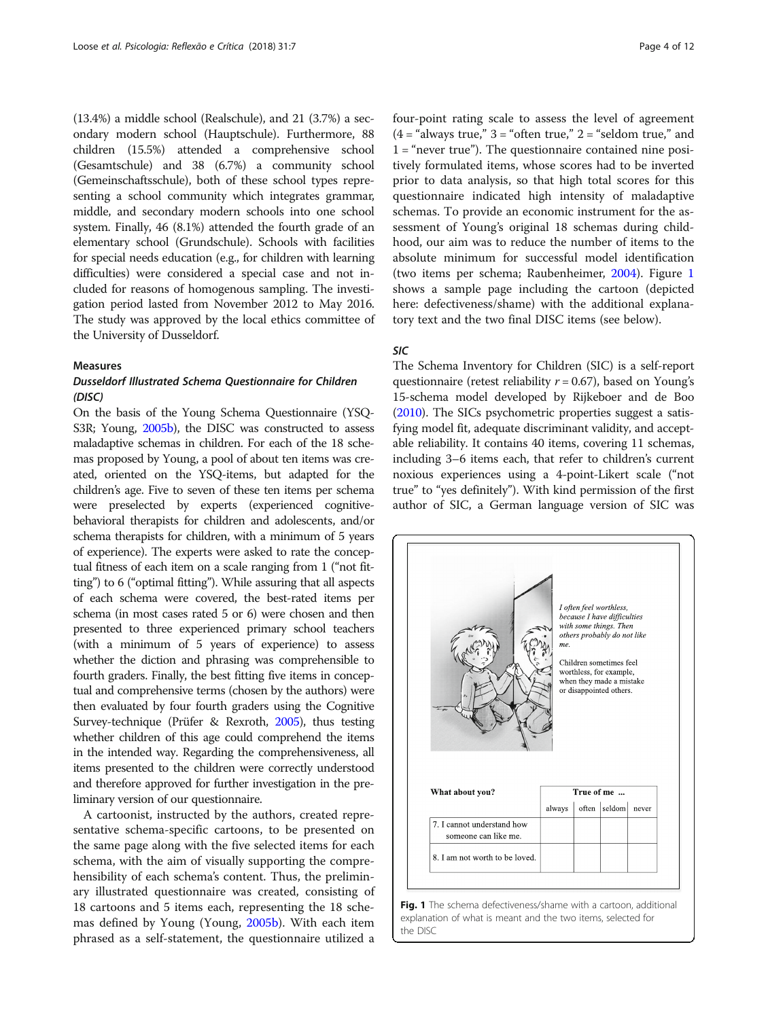(13.4%) a middle school (Realschule), and 21 (3.7%) a secondary modern school (Hauptschule). Furthermore, 88 children (15.5%) attended a comprehensive school (Gesamtschule) and 38 (6.7%) a community school (Gemeinschaftsschule), both of these school types representing a school community which integrates grammar, middle, and secondary modern schools into one school system. Finally, 46 (8.1%) attended the fourth grade of an elementary school (Grundschule). Schools with facilities for special needs education (e.g., for children with learning difficulties) were considered a special case and not included for reasons of homogenous sampling. The investigation period lasted from November 2012 to May 2016. The study was approved by the local ethics committee of the University of Dusseldorf.

#### Measures

### Dusseldorf Illustrated Schema Questionnaire for Children (DISC)

On the basis of the Young Schema Questionnaire (YSQ-S3R; Young, [2005b](#page-11-0)), the DISC was constructed to assess maladaptive schemas in children. For each of the 18 schemas proposed by Young, a pool of about ten items was created, oriented on the YSQ-items, but adapted for the children's age. Five to seven of these ten items per schema were preselected by experts (experienced cognitivebehavioral therapists for children and adolescents, and/or schema therapists for children, with a minimum of 5 years of experience). The experts were asked to rate the conceptual fitness of each item on a scale ranging from 1 ("not fitting") to 6 ("optimal fitting"). While assuring that all aspects of each schema were covered, the best-rated items per schema (in most cases rated 5 or 6) were chosen and then presented to three experienced primary school teachers (with a minimum of 5 years of experience) to assess whether the diction and phrasing was comprehensible to fourth graders. Finally, the best fitting five items in conceptual and comprehensive terms (chosen by the authors) were then evaluated by four fourth graders using the Cognitive Survey-technique (Prüfer & Rexroth, [2005](#page-10-0)), thus testing whether children of this age could comprehend the items in the intended way. Regarding the comprehensiveness, all items presented to the children were correctly understood and therefore approved for further investigation in the preliminary version of our questionnaire.

A cartoonist, instructed by the authors, created representative schema-specific cartoons, to be presented on the same page along with the five selected items for each schema, with the aim of visually supporting the comprehensibility of each schema's content. Thus, the preliminary illustrated questionnaire was created, consisting of 18 cartoons and 5 items each, representing the 18 schemas defined by Young (Young, [2005b\)](#page-11-0). With each item phrased as a self-statement, the questionnaire utilized a four-point rating scale to assess the level of agreement  $(4 - ^{u})$ always true," 3 = "often true," 2 = "seldom true," and 1 = "never true"). The questionnaire contained nine positively formulated items, whose scores had to be inverted prior to data analysis, so that high total scores for this questionnaire indicated high intensity of maladaptive schemas. To provide an economic instrument for the assessment of Young's original 18 schemas during childhood, our aim was to reduce the number of items to the absolute minimum for successful model identification (two items per schema; Raubenheimer, [2004\)](#page-10-0). Figure 1 shows a sample page including the cartoon (depicted here: defectiveness/shame) with the additional explanatory text and the two final DISC items (see below).

#### SIC

The Schema Inventory for Children (SIC) is a self-report questionnaire (retest reliability  $r = 0.67$ ), based on Young's 15-schema model developed by Rijkeboer and de Boo ([2010](#page-10-0)). The SICs psychometric properties suggest a satisfying model fit, adequate discriminant validity, and acceptable reliability. It contains 40 items, covering 11 schemas, including 3–6 items each, that refer to children's current noxious experiences using a 4-point-Likert scale ("not true" to "yes definitely"). With kind permission of the first author of SIC, a German language version of SIC was

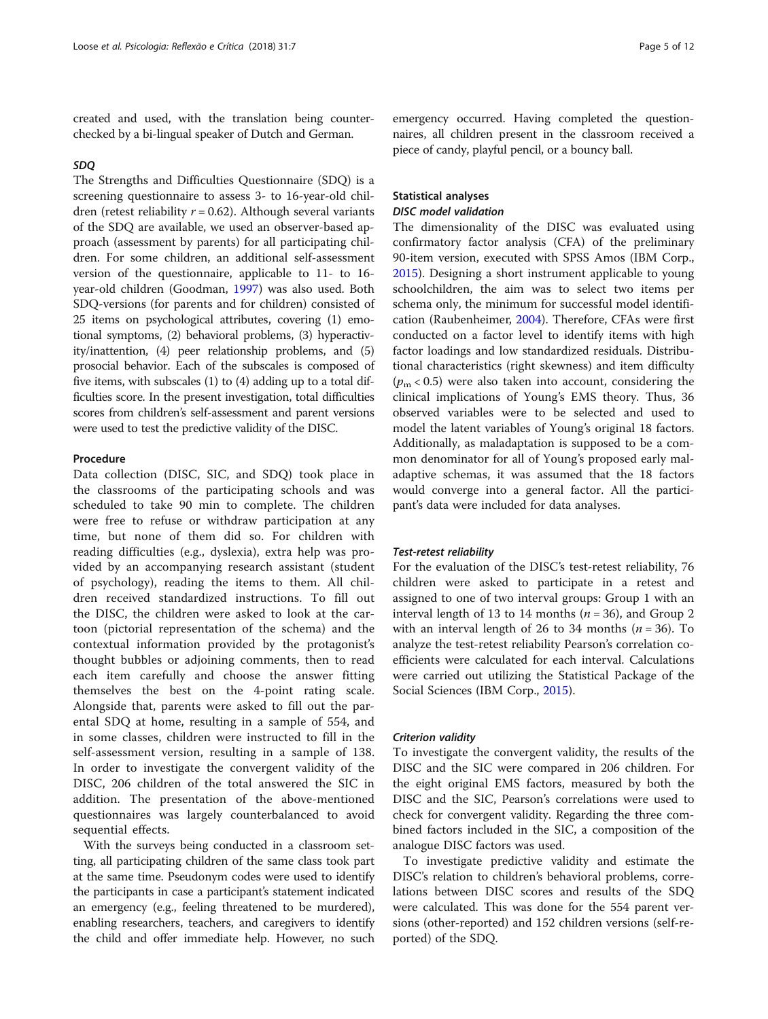created and used, with the translation being counterchecked by a bi-lingual speaker of Dutch and German.

#### SDQ

The Strengths and Difficulties Questionnaire (SDQ) is a screening questionnaire to assess 3- to 16-year-old children (retest reliability  $r = 0.62$ ). Although several variants of the SDQ are available, we used an observer-based approach (assessment by parents) for all participating children. For some children, an additional self-assessment version of the questionnaire, applicable to 11- to 16 year-old children (Goodman, [1997\)](#page-10-0) was also used. Both SDQ-versions (for parents and for children) consisted of 25 items on psychological attributes, covering (1) emotional symptoms, (2) behavioral problems, (3) hyperactivity/inattention, (4) peer relationship problems, and (5) prosocial behavior. Each of the subscales is composed of five items, with subscales (1) to (4) adding up to a total difficulties score. In the present investigation, total difficulties scores from children's self-assessment and parent versions were used to test the predictive validity of the DISC.

#### Procedure

Data collection (DISC, SIC, and SDQ) took place in the classrooms of the participating schools and was scheduled to take 90 min to complete. The children were free to refuse or withdraw participation at any time, but none of them did so. For children with reading difficulties (e.g., dyslexia), extra help was provided by an accompanying research assistant (student of psychology), reading the items to them. All children received standardized instructions. To fill out the DISC, the children were asked to look at the cartoon (pictorial representation of the schema) and the contextual information provided by the protagonist's thought bubbles or adjoining comments, then to read each item carefully and choose the answer fitting themselves the best on the 4-point rating scale. Alongside that, parents were asked to fill out the parental SDQ at home, resulting in a sample of 554, and in some classes, children were instructed to fill in the self-assessment version, resulting in a sample of 138. In order to investigate the convergent validity of the DISC, 206 children of the total answered the SIC in addition. The presentation of the above-mentioned questionnaires was largely counterbalanced to avoid sequential effects.

With the surveys being conducted in a classroom setting, all participating children of the same class took part at the same time. Pseudonym codes were used to identify the participants in case a participant's statement indicated an emergency (e.g., feeling threatened to be murdered), enabling researchers, teachers, and caregivers to identify the child and offer immediate help. However, no such emergency occurred. Having completed the questionnaires, all children present in the classroom received a piece of candy, playful pencil, or a bouncy ball.

#### Statistical analyses DISC model validation

The dimensionality of the DISC was evaluated using confirmatory factor analysis (CFA) of the preliminary 90-item version, executed with SPSS Amos (IBM Corp., [2015](#page-10-0)). Designing a short instrument applicable to young schoolchildren, the aim was to select two items per schema only, the minimum for successful model identification (Raubenheimer, [2004\)](#page-10-0). Therefore, CFAs were first conducted on a factor level to identify items with high factor loadings and low standardized residuals. Distributional characteristics (right skewness) and item difficulty  $(p_m < 0.5)$  were also taken into account, considering the clinical implications of Young's EMS theory. Thus, 36 observed variables were to be selected and used to model the latent variables of Young's original 18 factors. Additionally, as maladaptation is supposed to be a common denominator for all of Young's proposed early maladaptive schemas, it was assumed that the 18 factors would converge into a general factor. All the participant's data were included for data analyses.

#### Test-retest reliability

For the evaluation of the DISC's test-retest reliability, 76 children were asked to participate in a retest and assigned to one of two interval groups: Group 1 with an interval length of 13 to 14 months ( $n = 36$ ), and Group 2 with an interval length of 26 to 34 months ( $n = 36$ ). To analyze the test-retest reliability Pearson's correlation coefficients were calculated for each interval. Calculations were carried out utilizing the Statistical Package of the Social Sciences (IBM Corp., [2015\)](#page-10-0).

#### Criterion validity

To investigate the convergent validity, the results of the DISC and the SIC were compared in 206 children. For the eight original EMS factors, measured by both the DISC and the SIC, Pearson's correlations were used to check for convergent validity. Regarding the three combined factors included in the SIC, a composition of the analogue DISC factors was used.

To investigate predictive validity and estimate the DISC's relation to children's behavioral problems, correlations between DISC scores and results of the SDQ were calculated. This was done for the 554 parent versions (other-reported) and 152 children versions (self-reported) of the SDQ.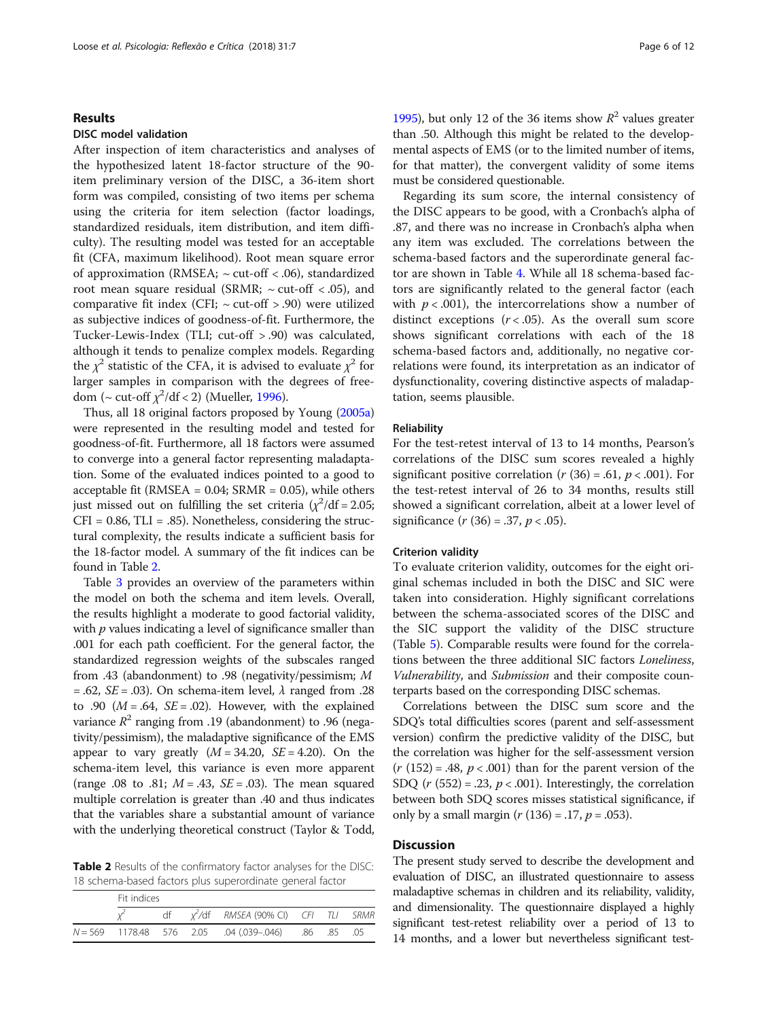#### Results

#### DISC model validation

After inspection of item characteristics and analyses of the hypothesized latent 18-factor structure of the 90 item preliminary version of the DISC, a 36-item short form was compiled, consisting of two items per schema using the criteria for item selection (factor loadings, standardized residuals, item distribution, and item difficulty). The resulting model was tested for an acceptable fit (CFA, maximum likelihood). Root mean square error of approximation (RMSEA;  $\sim$  cut-off  $<$  .06), standardized root mean square residual (SRMR;  $\sim$  cut-off  $\lt$  .05), and comparative fit index (CFI;  $\sim$  cut-off  $>$  .90) were utilized as subjective indices of goodness-of-fit. Furthermore, the Tucker-Lewis-Index (TLI; cut-off > .90) was calculated, although it tends to penalize complex models. Regarding the  $\chi^2$  statistic of the CFA, it is advised to evaluate  $\chi^2$  for larger samples in comparison with the degrees of freedom (~ cut-off  $\chi^2$ /df < 2) (Mueller, [1996\)](#page-10-0).

Thus, all 18 original factors proposed by Young ([2005a](#page-11-0)) were represented in the resulting model and tested for goodness-of-fit. Furthermore, all 18 factors were assumed to converge into a general factor representing maladaptation. Some of the evaluated indices pointed to a good to acceptable fit (RMSEA =  $0.04$ ; SRMR =  $0.05$ ), while others just missed out on fulfilling the set criteria  $(\chi^2/df = 2.05;$  $CFI = 0.86$ ,  $TLI = .85$ ). Nonetheless, considering the structural complexity, the results indicate a sufficient basis for the 18-factor model. A summary of the fit indices can be found in Table 2.

Table [3](#page-6-0) provides an overview of the parameters within the model on both the schema and item levels. Overall, the results highlight a moderate to good factorial validity, with  $p$  values indicating a level of significance smaller than .001 for each path coefficient. For the general factor, the standardized regression weights of the subscales ranged from .43 (abandonment) to .98 (negativity/pessimism; M = .62,  $SE = .03$ ). On schema-item level,  $\lambda$  ranged from .28 to .90  $(M = .64, SE = .02)$ . However, with the explained variance  $R^2$  ranging from .19 (abandonment) to .96 (negativity/pessimism), the maladaptive significance of the EMS appear to vary greatly  $(M = 34.20, \text{ } SE = 4.20)$ . On the schema-item level, this variance is even more apparent (range .08 to .81;  $M = .43$ ,  $SE = .03$ ). The mean squared multiple correlation is greater than .40 and thus indicates that the variables share a substantial amount of variance with the underlying theoretical construct (Taylor & Todd,

Table 2 Results of the confirmatory factor analyses for the DISC: 18 schema-based factors plus superordinate general factor

| Fit indices |    |                                                        |  |  |
|-------------|----|--------------------------------------------------------|--|--|
|             | df | x <sup>2</sup> /df RMSEA (90% CI) CFI TLI SRMR         |  |  |
|             |    | $N = 569$ 1178.48 576 2.05 .04 (.039-.046) .86 .85 .05 |  |  |

[1995\)](#page-11-0), but only 12 of the 36 items show  $R^2$  values greater than .50. Although this might be related to the developmental aspects of EMS (or to the limited number of items, for that matter), the convergent validity of some items must be considered questionable.

Regarding its sum score, the internal consistency of the DISC appears to be good, with a Cronbach's alpha of .87, and there was no increase in Cronbach's alpha when any item was excluded. The correlations between the schema-based factors and the superordinate general factor are shown in Table [4](#page-7-0). While all 18 schema-based factors are significantly related to the general factor (each with  $p < .001$ ), the intercorrelations show a number of distinct exceptions  $(r < .05)$ . As the overall sum score shows significant correlations with each of the 18 schema-based factors and, additionally, no negative correlations were found, its interpretation as an indicator of dysfunctionality, covering distinctive aspects of maladaptation, seems plausible.

#### Reliability

For the test-retest interval of 13 to 14 months, Pearson's correlations of the DISC sum scores revealed a highly significant positive correlation ( $r(36) = .61$ ,  $p < .001$ ). For the test-retest interval of 26 to 34 months, results still showed a significant correlation, albeit at a lower level of significance  $(r (36) = .37, p < .05)$ .

#### Criterion validity

To evaluate criterion validity, outcomes for the eight original schemas included in both the DISC and SIC were taken into consideration. Highly significant correlations between the schema-associated scores of the DISC and the SIC support the validity of the DISC structure (Table [5](#page-7-0)). Comparable results were found for the correlations between the three additional SIC factors Loneliness, Vulnerability, and Submission and their composite counterparts based on the corresponding DISC schemas.

Correlations between the DISC sum score and the SDQ's total difficulties scores (parent and self-assessment version) confirm the predictive validity of the DISC, but the correlation was higher for the self-assessment version  $(r (152) = .48, p < .001)$  than for the parent version of the SDQ  $(r (552) = .23, p < .001)$ . Interestingly, the correlation between both SDQ scores misses statistical significance, if only by a small margin  $(r (136) = .17, p = .053)$ .

#### **Discussion**

The present study served to describe the development and evaluation of DISC, an illustrated questionnaire to assess maladaptive schemas in children and its reliability, validity, and dimensionality. The questionnaire displayed a highly significant test-retest reliability over a period of 13 to 14 months, and a lower but nevertheless significant test-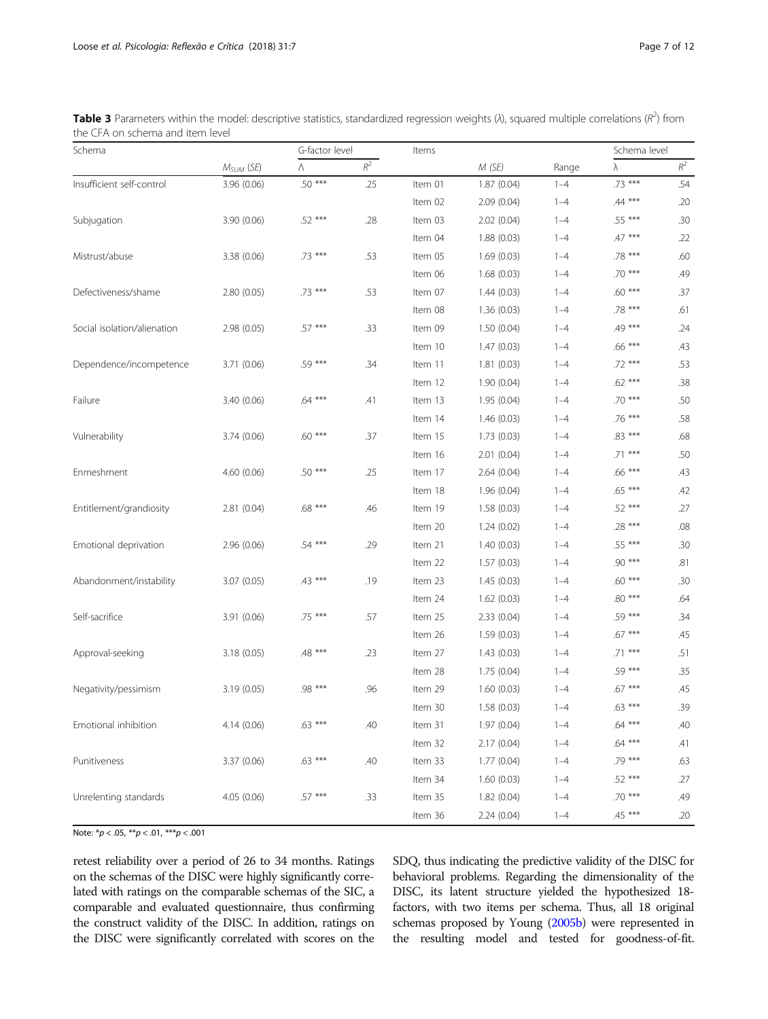<span id="page-6-0"></span>

| <b>Table 3</b> Parameters within the model: descriptive statistics, standardized regression weights ( $\lambda$ ), squared multiple correlations ( $R^2$ ) from |  |
|-----------------------------------------------------------------------------------------------------------------------------------------------------------------|--|
| the CFA on schema and item level                                                                                                                                |  |

| Schema                      |                |          | G-factor level |         |            |         | Schema level |         |
|-----------------------------|----------------|----------|----------------|---------|------------|---------|--------------|---------|
|                             | $M_{SUM}$ (SE) | Λ        | $R^2$          |         | $M$ (SE)   | Range   | λ            | $R^2\,$ |
| Insufficient self-control   | 3.96 (0.06)    | .50 ***  | .25            | Item 01 | 1.87(0.04) | $1 - 4$ | .73 ***      | .54     |
|                             |                |          |                | Item 02 | 2.09(0.04) | $1 - 4$ | .44 ***      | .20     |
| Subjugation                 | 3.90 (0.06)    | $.52***$ | .28            | Item 03 | 2.02(0.04) | $1 - 4$ | .55 ***      | .30     |
|                             |                |          |                | Item 04 | 1.88(0.03) | $1 - 4$ | $.47***$     | .22     |
| Mistrust/abuse              | 3.38 (0.06)    | .73 ***  | .53            | Item 05 | 1.69(0.03) | $1 - 4$ | .78 ***      | .60     |
|                             |                |          |                | Item 06 | 1.68(0.03) | $1 - 4$ | .70 ***      | .49     |
| Defectiveness/shame         | 2.80(0.05)     | .73 ***  | .53            | Item 07 | 1.44(0.03) | $1 - 4$ | $.60***$     | .37     |
|                             |                |          |                | Item 08 | 1.36(0.03) | $1 - 4$ | .78 ***      | .61     |
| Social isolation/alienation | 2.98(0.05)     | $.57***$ | .33            | Item 09 | 1.50(0.04) | $1 - 4$ | .49 ***      | .24     |
|                             |                |          |                | Item 10 | 1.47(0.03) | $1 - 4$ | .66 ***      | .43     |
| Dependence/incompetence     | 3.71 (0.06)    | .59 ***  | .34            | Item 11 | 1.81(0.03) | $1 - 4$ | $.72***$     | .53     |
|                             |                |          |                | Item 12 | 1.90(0.04) | $1 - 4$ | $.62***$     | .38     |
| Failure                     | 3.40 (0.06)    | .64 ***  | .41            | Item 13 | 1.95(0.04) | $1 - 4$ | .70 ***      | .50     |
|                             |                |          |                | Item 14 | 1.46(0.03) | $1 - 4$ | .76 ***      | .58     |
| Vulnerability               | 3.74 (0.06)    | $.60***$ | .37            | Item 15 | 1.73(0.03) | $1 - 4$ | $.83***$     | .68     |
|                             |                |          |                | Item 16 | 2.01(0.04) | $1 - 4$ | $.71***$     | .50     |
| Enmeshment                  | 4.60(0.06)     | $.50***$ | .25            | Item 17 | 2.64(0.04) | $1 - 4$ | $.66***$     | .43     |
|                             |                |          |                | Item 18 | 1.96(0.04) | $1 - 4$ | $.65***$     | .42     |
| Entitlement/grandiosity     | 2.81(0.04)     | .68 ***  | .46            | Item 19 | 1.58(0.03) | $1 - 4$ | .52 ***      | .27     |
|                             |                |          |                | Item 20 | 1.24(0.02) | $1 - 4$ | .28 ***      | .08     |
| Emotional deprivation       | 2.96(0.06)     | .54 ***  | .29            | Item 21 | 1.40(0.03) | $1 - 4$ | .55 ***      | .30     |
|                             |                |          |                | Item 22 | 1.57(0.03) | $1 - 4$ | .90 ***      | .81     |
| Abandonment/instability     | 3.07(0.05)     | .43 ***  | .19            | Item 23 | 1.45(0.03) | $1 - 4$ | $.60***$     | .30     |
|                             |                |          |                | Item 24 | 1.62(0.03) | $1 - 4$ | $.80***$     | .64     |
| Self-sacrifice              | 3.91 (0.06)    | .75 ***  | .57            | Item 25 | 2.33(0.04) | $1 - 4$ | .59 ***      | .34     |
|                             |                |          |                | Item 26 | 1.59(0.03) | $1 - 4$ | .67 ***      | .45     |
| Approval-seeking            | 3.18(0.05)     | .48 ***  | .23            | Item 27 | 1.43(0.03) | $1 - 4$ | $.71***$     | .51     |
|                             |                |          |                | Item 28 | 1.75(0.04) | $1 - 4$ | .59 ***      | .35     |
| Negativity/pessimism        | 3.19(0.05)     | .98 ***  | .96            | Item 29 | 1.60(0.03) | $1 - 4$ | $.67***$     | .45     |
|                             |                |          |                | Item 30 | 1.58(0.03) | $1 - 4$ | .63 ***      | .39     |
| Emotional inhibition        | 4.14(0.06)     | $.63***$ | .40            | Item 31 | 1.97(0.04) | $1 - 4$ | .64 ***      | .40     |
|                             |                |          |                | Item 32 | 2.17(0.04) | $1 - 4$ | .64 ***      | .41     |
| Punitiveness                | 3.37 (0.06)    | .63 ***  | .40            | Item 33 | 1.77(0.04) | $1 - 4$ | .79 ***      | .63     |
|                             |                |          |                | Item 34 | 1.60(0.03) | $1 - 4$ | $.52***$     | .27     |
| Unrelenting standards       | 4.05(0.06)     | .57 ***  | .33            | Item 35 | 1.82(0.04) | $1 - 4$ | .70 ***      | .49     |
|                             |                |          |                | Item 36 | 2.24(0.04) | $1 - 4$ | .45 ***      | .20     |

Note:  $* p < .05, ** p < .01, ** p < .001$ 

retest reliability over a period of 26 to 34 months. Ratings on the schemas of the DISC were highly significantly correlated with ratings on the comparable schemas of the SIC, a comparable and evaluated questionnaire, thus confirming the construct validity of the DISC. In addition, ratings on the DISC were significantly correlated with scores on the SDQ, thus indicating the predictive validity of the DISC for behavioral problems. Regarding the dimensionality of the DISC, its latent structure yielded the hypothesized 18 factors, with two items per schema. Thus, all 18 original schemas proposed by Young ([2005b\)](#page-11-0) were represented in the resulting model and tested for goodness-of-fit.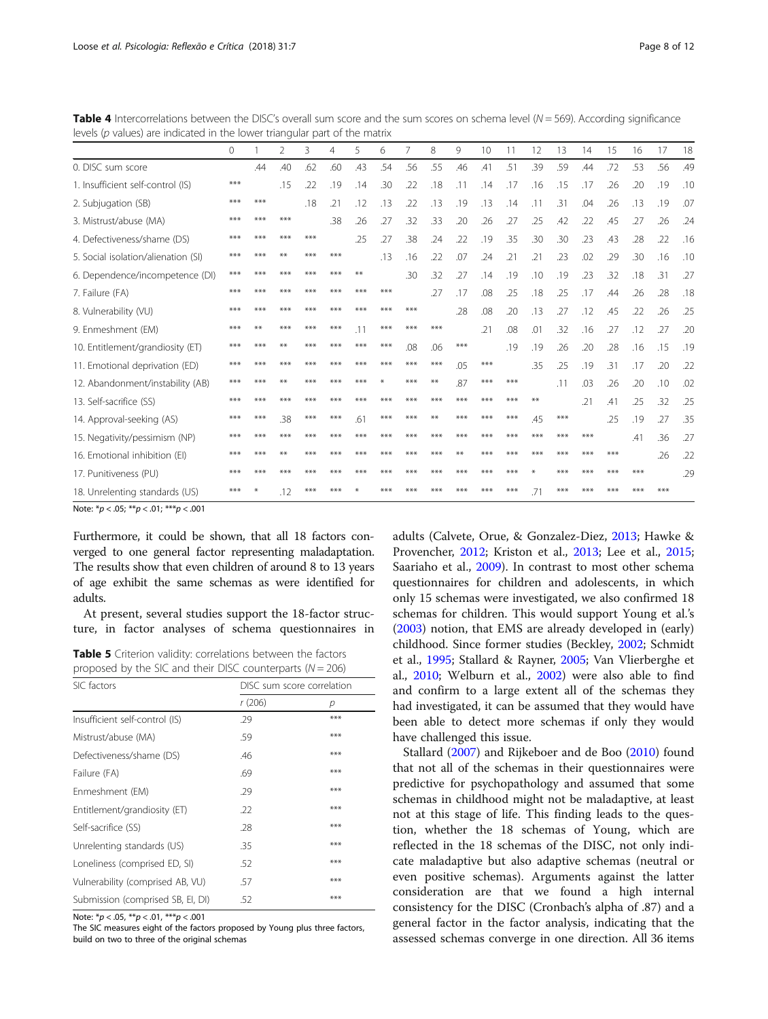| marcated in the lower thang         |              |             |                |         |     |     |       |       |      |      |     |     |       |       |       |     |     |     |     |
|-------------------------------------|--------------|-------------|----------------|---------|-----|-----|-------|-------|------|------|-----|-----|-------|-------|-------|-----|-----|-----|-----|
|                                     | $\mathbf{0}$ |             | $\mathfrak{D}$ | 3       | 4   | 5   | 6     | 7     | 8    | 9    | 10  | 11  | 12    | 13    | 14    | 15  | 16  | 17  | 18  |
| 0. DISC sum score                   |              | .44         | .40            | .62     | .60 | .43 | .54   | .56   | .55  | .46  | .41 | .51 | .39   | .59   | .44   | .72 | .53 | .56 | .49 |
| 1. Insufficient self-control (IS)   | $***$        |             | .15            | .22     | .19 | .14 | .30   | .22   | .18  | .11  | .14 | .17 | .16   | .15   | .17   | .26 | .20 | .19 | .10 |
| 2. Subjugation (SB)                 | ***          | ***         |                | .18     | .21 | .12 | .13   | .22   | .13  | .19  | .13 | .14 | .11   | .31   | .04   | .26 | .13 | .19 | .07 |
| 3. Mistrust/abuse (MA)              |              |             | ***            |         | .38 | .26 | .27   | .32   | .33  | .20  | .26 | .27 | .25   | .42   | .22   | .45 | .27 | .26 | .24 |
| 4. Defectiveness/shame (DS)         |              |             |                |         |     | .25 | .27   | .38   | .24  | .22  | .19 | .35 | .30   | .30   | .23   | .43 | .28 | .22 | .16 |
| 5. Social isolation/alienation (SI) | ***          | $***$       |                |         |     |     | .13   | .16   | .22  | .07  | .24 | .21 | .21   | .23   | .02   | .29 | .30 | .16 | .10 |
| 6. Dependence/incompetence (DI)     | ***          | $44.46 - 4$ |                |         |     |     |       | .30   | 32   | .27  | .14 | .19 | .10   | .19   | .23   | 32  | .18 | .31 | .27 |
| 7. Failure (FA)                     | ***          | ***         | 44.44          | ***     |     |     | ***   |       | .27  | .17  | .08 | .25 | .18   | .25   | .17   | .44 | .26 | .28 | .18 |
| 8. Vulnerability (VU)               | ***          | $***$       | ***            | ***     |     | *** |       | ***   |      | .28  | .08 | .20 | .13   | .27   | .12   | .45 | .22 | .26 | .25 |
| 9. Enmeshment (EM)                  | $***$        | **          | ***            | ***     | *** | .11 | $***$ | $***$ | ***  |      | .21 | .08 | .01   | .32   | .16   | .27 | .12 | .27 | .20 |
| 10. Entitlement/grandiosity (ET)    | ***          | $***$       | **             | ***     | *** | *** | $***$ | .08   | .06  | ***  |     | .19 | .19   | .26   | .20   | .28 | .16 | .15 | .19 |
| 11. Emotional deprivation (ED)      | ***          |             | ***            | ***     |     |     |       | $***$ | ***  | .05  | *** |     | .35   | .25   | .19   | .31 | .17 | .20 | .22 |
| 12. Abandonment/instability (AB)    | $+ + +$      |             |                | $* * *$ |     |     |       |       |      | .87  |     | *** |       | .11   | .03   | .26 | .20 | .10 | .02 |
| 13. Self-sacrifice (SS)             |              |             | ***            | ***     |     |     |       | $***$ | ***  | ***  | *** |     |       |       | .21   | .41 | .25 | .32 | .25 |
| 14. Approval-seeking (AS)           | $***$        | ***         | .38            | ***     | *** | .61 | $***$ | $***$ | $**$ | ***  | *** | *** | .45   | $***$ |       | .25 | .19 | .27 | .35 |
| 15. Negativity/pessimism (NP)       | $***$        | ***         | ***            | ***     | *** | *** | $***$ | $***$ | ***  | ***  | *** | *** | ***   | $***$ | $***$ |     | .41 | .36 | .27 |
| 16. Emotional inhibition (EI)       | $+ + +$      | ***         | $**$           | ***     |     | *** | ***   | $***$ | ***  | $**$ | *** | *** | $***$ | $***$ |       | *** |     | 26  | .22 |
| 17. Punitiveness (PU)               | $***$        | $***$       | ***            | ***     |     | *** | ***   | $***$ | ***  | ***  | *** | *** |       | $***$ | $***$ |     | *** |     | .29 |
| 18. Unrelenting standards (US)      |              |             | .12            |         |     |     |       |       |      |      |     |     | .71   |       |       |     |     |     |     |

<span id="page-7-0"></span>Table 4 Intercorrelations between the DISC's overall sum score and the sum scores on schema level ( $N = 569$ ). According significance levels (p values) are indicated in the lower triangular part of the matrix

Note:  $*_{p}$  < .05;  $*_{p}$  < .01;  $*_{p}$  < .001

Furthermore, it could be shown, that all 18 factors converged to one general factor representing maladaptation. The results show that even children of around 8 to 13 years of age exhibit the same schemas as were identified for adults.

At present, several studies support the 18-factor structure, in factor analyses of schema questionnaires in

Table 5 Criterion validity: correlations between the factors proposed by the SIC and their DISC counterparts ( $N = 206$ )

| SIC factors                       | DISC sum score correlation |     |  |  |  |  |  |
|-----------------------------------|----------------------------|-----|--|--|--|--|--|
|                                   | r(206)                     | р   |  |  |  |  |  |
| Insufficient self-control (IS)    | .29                        | *** |  |  |  |  |  |
| Mistrust/abuse (MA)               | .59                        | *** |  |  |  |  |  |
| Defectiveness/shame (DS)          | .46                        | *** |  |  |  |  |  |
| Failure (FA)                      | .69                        | *** |  |  |  |  |  |
| Enmeshment (EM)                   | .29                        | *** |  |  |  |  |  |
| Entitlement/grandiosity (ET)      | .22                        | *** |  |  |  |  |  |
| Self-sacrifice (SS)               | .28                        | *** |  |  |  |  |  |
| Unrelenting standards (US)        | .35                        | *** |  |  |  |  |  |
| Loneliness (comprised ED, SI)     | .52                        | *** |  |  |  |  |  |
| Vulnerability (comprised AB, VU)  | .57                        | *** |  |  |  |  |  |
| Submission (comprised SB, EI, DI) | .52                        | *** |  |  |  |  |  |

Note: \*p < .05, \*\*p < .01, \*\*\*p < .001<br>The SIC measures eight of the factors proposed by Young plus three factors, build on two to three of the original schemas

adults (Calvete, Orue, & Gonzalez-Diez, [2013](#page-10-0); Hawke & Provencher, [2012](#page-10-0); Kriston et al., [2013](#page-10-0); Lee et al., [2015](#page-10-0); Saariaho et al., [2009\)](#page-10-0). In contrast to most other schema questionnaires for children and adolescents, in which only 15 schemas were investigated, we also confirmed 18 schemas for children. This would support Young et al.'s ([2003\)](#page-11-0) notion, that EMS are already developed in (early) childhood. Since former studies (Beckley, [2002](#page-10-0); Schmidt et al., [1995](#page-10-0); Stallard & Rayner, [2005;](#page-11-0) Van Vlierberghe et al., [2010](#page-11-0); Welburn et al., [2002](#page-11-0)) were also able to find and confirm to a large extent all of the schemas they had investigated, it can be assumed that they would have been able to detect more schemas if only they would have challenged this issue.

Stallard ([2007\)](#page-11-0) and Rijkeboer and de Boo ([2010](#page-10-0)) found that not all of the schemas in their questionnaires were predictive for psychopathology and assumed that some schemas in childhood might not be maladaptive, at least not at this stage of life. This finding leads to the question, whether the 18 schemas of Young, which are reflected in the 18 schemas of the DISC, not only indicate maladaptive but also adaptive schemas (neutral or even positive schemas). Arguments against the latter consideration are that we found a high internal consistency for the DISC (Cronbach's alpha of .87) and a general factor in the factor analysis, indicating that the assessed schemas converge in one direction. All 36 items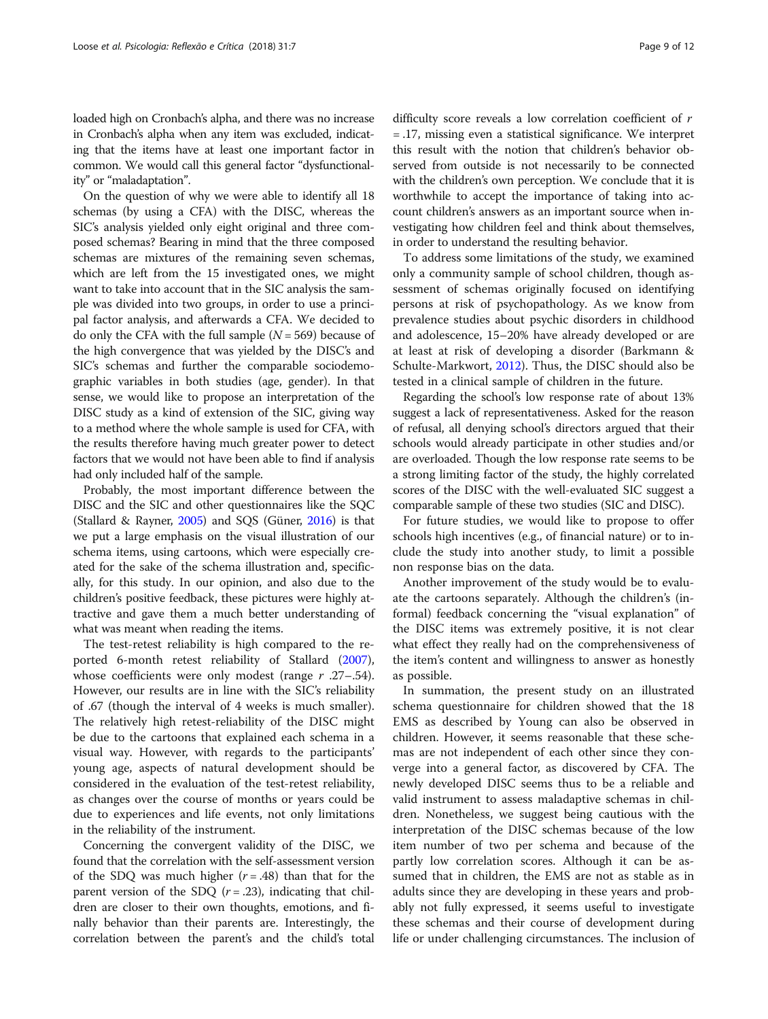loaded high on Cronbach's alpha, and there was no increase in Cronbach's alpha when any item was excluded, indicating that the items have at least one important factor in common. We would call this general factor "dysfunctionality" or "maladaptation".

On the question of why we were able to identify all 18 schemas (by using a CFA) with the DISC, whereas the SIC's analysis yielded only eight original and three composed schemas? Bearing in mind that the three composed schemas are mixtures of the remaining seven schemas, which are left from the 15 investigated ones, we might want to take into account that in the SIC analysis the sample was divided into two groups, in order to use a principal factor analysis, and afterwards a CFA. We decided to do only the CFA with the full sample  $(N = 569)$  because of the high convergence that was yielded by the DISC's and SIC's schemas and further the comparable sociodemographic variables in both studies (age, gender). In that sense, we would like to propose an interpretation of the DISC study as a kind of extension of the SIC, giving way to a method where the whole sample is used for CFA, with the results therefore having much greater power to detect factors that we would not have been able to find if analysis had only included half of the sample.

Probably, the most important difference between the DISC and the SIC and other questionnaires like the SQC (Stallard & Rayner, [2005](#page-11-0)) and SQS (Güner, [2016\)](#page-10-0) is that we put a large emphasis on the visual illustration of our schema items, using cartoons, which were especially created for the sake of the schema illustration and, specifically, for this study. In our opinion, and also due to the children's positive feedback, these pictures were highly attractive and gave them a much better understanding of what was meant when reading the items.

The test-retest reliability is high compared to the reported 6-month retest reliability of Stallard ([2007](#page-11-0)), whose coefficients were only modest (range  $r$  .27–.54). However, our results are in line with the SIC's reliability of .67 (though the interval of 4 weeks is much smaller). The relatively high retest-reliability of the DISC might be due to the cartoons that explained each schema in a visual way. However, with regards to the participants' young age, aspects of natural development should be considered in the evaluation of the test-retest reliability, as changes over the course of months or years could be due to experiences and life events, not only limitations in the reliability of the instrument.

Concerning the convergent validity of the DISC, we found that the correlation with the self-assessment version of the SDQ was much higher  $(r = .48)$  than that for the parent version of the SDQ  $(r=.23)$ , indicating that children are closer to their own thoughts, emotions, and finally behavior than their parents are. Interestingly, the correlation between the parent's and the child's total difficulty score reveals a low correlation coefficient of r = .17, missing even a statistical significance. We interpret this result with the notion that children's behavior observed from outside is not necessarily to be connected with the children's own perception. We conclude that it is worthwhile to accept the importance of taking into account children's answers as an important source when investigating how children feel and think about themselves, in order to understand the resulting behavior.

To address some limitations of the study, we examined only a community sample of school children, though assessment of schemas originally focused on identifying persons at risk of psychopathology. As we know from prevalence studies about psychic disorders in childhood and adolescence, 15–20% have already developed or are at least at risk of developing a disorder (Barkmann & Schulte-Markwort, [2012](#page-10-0)). Thus, the DISC should also be tested in a clinical sample of children in the future.

Regarding the school's low response rate of about 13% suggest a lack of representativeness. Asked for the reason of refusal, all denying school's directors argued that their schools would already participate in other studies and/or are overloaded. Though the low response rate seems to be a strong limiting factor of the study, the highly correlated scores of the DISC with the well-evaluated SIC suggest a comparable sample of these two studies (SIC and DISC).

For future studies, we would like to propose to offer schools high incentives (e.g., of financial nature) or to include the study into another study, to limit a possible non response bias on the data.

Another improvement of the study would be to evaluate the cartoons separately. Although the children's (informal) feedback concerning the "visual explanation" of the DISC items was extremely positive, it is not clear what effect they really had on the comprehensiveness of the item's content and willingness to answer as honestly as possible.

In summation, the present study on an illustrated schema questionnaire for children showed that the 18 EMS as described by Young can also be observed in children. However, it seems reasonable that these schemas are not independent of each other since they converge into a general factor, as discovered by CFA. The newly developed DISC seems thus to be a reliable and valid instrument to assess maladaptive schemas in children. Nonetheless, we suggest being cautious with the interpretation of the DISC schemas because of the low item number of two per schema and because of the partly low correlation scores. Although it can be assumed that in children, the EMS are not as stable as in adults since they are developing in these years and probably not fully expressed, it seems useful to investigate these schemas and their course of development during life or under challenging circumstances. The inclusion of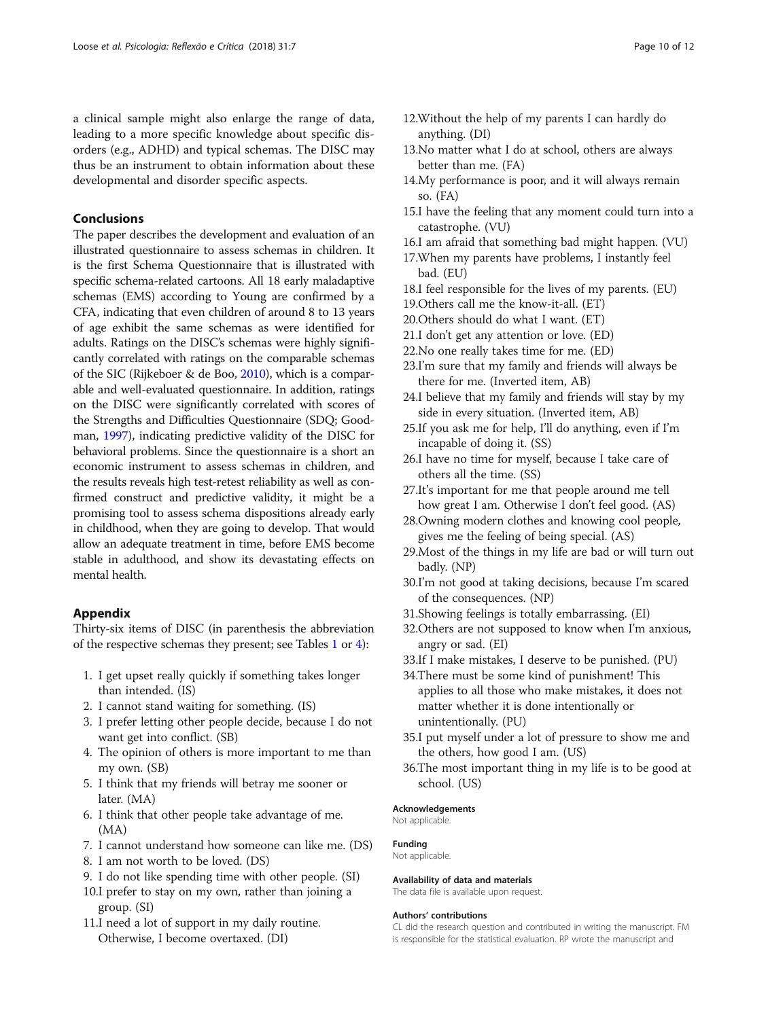a clinical sample might also enlarge the range of data, leading to a more specific knowledge about specific disorders (e.g., ADHD) and typical schemas. The DISC may thus be an instrument to obtain information about these developmental and disorder specific aspects.

#### Conclusions

The paper describes the development and evaluation of an illustrated questionnaire to assess schemas in children. It is the first Schema Questionnaire that is illustrated with specific schema-related cartoons. All 18 early maladaptive schemas (EMS) according to Young are confirmed by a CFA, indicating that even children of around 8 to 13 years of age exhibit the same schemas as were identified for adults. Ratings on the DISC's schemas were highly significantly correlated with ratings on the comparable schemas of the SIC (Rijkeboer & de Boo, [2010\)](#page-10-0), which is a comparable and well-evaluated questionnaire. In addition, ratings on the DISC were significantly correlated with scores of the Strengths and Difficulties Questionnaire (SDQ; Goodman, [1997](#page-10-0)), indicating predictive validity of the DISC for behavioral problems. Since the questionnaire is a short an economic instrument to assess schemas in children, and the results reveals high test-retest reliability as well as confirmed construct and predictive validity, it might be a promising tool to assess schema dispositions already early in childhood, when they are going to develop. That would allow an adequate treatment in time, before EMS become stable in adulthood, and show its devastating effects on mental health.

#### Appendix

Thirty-six items of DISC (in parenthesis the abbreviation of the respective schemas they present; see Tables [1](#page-1-0) or [4\)](#page-7-0):

- 1. I get upset really quickly if something takes longer than intended. (IS)
- 2. I cannot stand waiting for something. (IS)
- 3. I prefer letting other people decide, because I do not want get into conflict. (SB)
- 4. The opinion of others is more important to me than my own. (SB)
- 5. I think that my friends will betray me sooner or later. (MA)
- 6. I think that other people take advantage of me. (MA)
- 7. I cannot understand how someone can like me. (DS)
- 8. I am not worth to be loved. (DS)
- 9. I do not like spending time with other people. (SI)
- 10.I prefer to stay on my own, rather than joining a group. (SI)
- 11.I need a lot of support in my daily routine. Otherwise, I become overtaxed. (DI)
- 12.Without the help of my parents I can hardly do anything. (DI)
- 13.No matter what I do at school, others are always better than me. (FA)
- 14.My performance is poor, and it will always remain so. (FA)
- 15.I have the feeling that any moment could turn into a catastrophe. (VU)
- 16.I am afraid that something bad might happen. (VU)
- 17.When my parents have problems, I instantly feel bad. (EU)
- 18.I feel responsible for the lives of my parents. (EU)
- 19.Others call me the know-it-all. (ET)
- 20.Others should do what I want. (ET)
- 21.I don't get any attention or love. (ED)
- 22.No one really takes time for me. (ED)
- 23.I'm sure that my family and friends will always be there for me. (Inverted item, AB)
- 24.I believe that my family and friends will stay by my side in every situation. (Inverted item, AB)
- 25.If you ask me for help, I'll do anything, even if I'm incapable of doing it. (SS)
- 26.I have no time for myself, because I take care of others all the time. (SS)
- 27.It's important for me that people around me tell how great I am. Otherwise I don't feel good. (AS)
- 28.Owning modern clothes and knowing cool people, gives me the feeling of being special. (AS)
- 29.Most of the things in my life are bad or will turn out badly. (NP)
- 30.I'm not good at taking decisions, because I'm scared of the consequences. (NP)
- 31.Showing feelings is totally embarrassing. (EI)
- 32.Others are not supposed to know when I'm anxious, angry or sad. (EI)
- 33.If I make mistakes, I deserve to be punished. (PU)
- 34.There must be some kind of punishment! This applies to all those who make mistakes, it does not matter whether it is done intentionally or unintentionally. (PU)
- 35.I put myself under a lot of pressure to show me and the others, how good I am. (US)
- 36.The most important thing in my life is to be good at school. (US)

#### Acknowledgements

Not applicable.

#### Funding

Not applicable.

#### Availability of data and materials

The data file is available upon request.

#### Authors' contributions

CL did the research question and contributed in writing the manuscript. FM is responsible for the statistical evaluation. RP wrote the manuscript and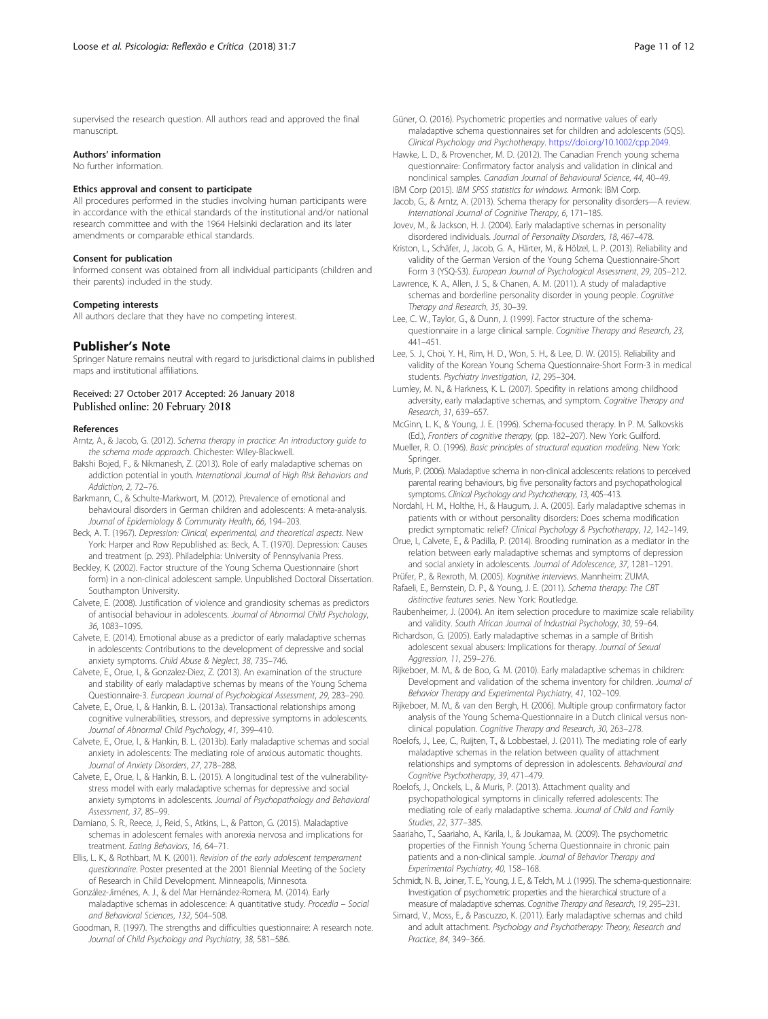<span id="page-10-0"></span>supervised the research question. All authors read and approved the final manuscript.

#### Authors' information

No further information.

#### Ethics approval and consent to participate

All procedures performed in the studies involving human participants were in accordance with the ethical standards of the institutional and/or national research committee and with the 1964 Helsinki declaration and its later amendments or comparable ethical standards.

#### Consent for publication

Informed consent was obtained from all individual participants (children and their parents) included in the study.

#### Competing interests

All authors declare that they have no competing interest.

#### Publisher's Note

Springer Nature remains neutral with regard to jurisdictional claims in published maps and institutional affiliations.

#### Received: 27 October 2017 Accepted: 26 January 2018 Published online: 20 February 2018

#### References

- Arntz, A., & Jacob, G. (2012). Schema therapy in practice: An introductory guide to the schema mode approach. Chichester: Wiley-Blackwell.
- Bakshi Bojed, F., & Nikmanesh, Z. (2013). Role of early maladaptive schemas on addiction potential in youth. International Journal of High Risk Behaviors and Addiction, 2, 72–76.
- Barkmann, C., & Schulte-Markwort, M. (2012). Prevalence of emotional and behavioural disorders in German children and adolescents: A meta-analysis. Journal of Epidemiology & Community Health, 66, 194–203.
- Beck, A. T. (1967). Depression: Clinical, experimental, and theoretical aspects. New York: Harper and Row Republished as: Beck, A. T. (1970). Depression: Causes and treatment (p. 293). Philadelphia: University of Pennsylvania Press.
- Beckley, K. (2002). Factor structure of the Young Schema Questionnaire (short form) in a non-clinical adolescent sample. Unpublished Doctoral Dissertation. Southampton University.
- Calvete, E. (2008). Justification of violence and grandiosity schemas as predictors of antisocial behaviour in adolescents. Journal of Abnormal Child Psychology, 36, 1083–1095.
- Calvete, E. (2014). Emotional abuse as a predictor of early maladaptive schemas in adolescents: Contributions to the development of depressive and social anxiety symptoms. Child Abuse & Neglect, 38, 735–746.
- Calvete, E., Orue, I., & Gonzalez-Diez, Z. (2013). An examination of the structure and stability of early maladaptive schemas by means of the Young Schema Questionnaire-3. European Journal of Psychological Assessment, 29, 283–290.
- Calvete, E., Orue, I., & Hankin, B. L. (2013a). Transactional relationships among cognitive vulnerabilities, stressors, and depressive symptoms in adolescents. Journal of Abnormal Child Psychology, 41, 399–410.
- Calvete, E., Orue, I., & Hankin, B. L. (2013b). Early maladaptive schemas and social anxiety in adolescents: The mediating role of anxious automatic thoughts. Journal of Anxiety Disorders, 27, 278–288.
- Calvete, E., Orue, I., & Hankin, B. L. (2015). A longitudinal test of the vulnerabilitystress model with early maladaptive schemas for depressive and social anxiety symptoms in adolescents. Journal of Psychopathology and Behavioral Assessment, 37, 85–99.
- Damiano, S. R., Reece, J., Reid, S., Atkins, L., & Patton, G. (2015). Maladaptive schemas in adolescent females with anorexia nervosa and implications for treatment. Eating Behaviors, 16, 64–71.
- Ellis, L. K., & Rothbart, M. K. (2001). Revision of the early adolescent temperament questionnaire. Poster presented at the 2001 Biennial Meeting of the Society of Research in Child Development. Minneapolis, Minnesota.
- González-Jiménes, A. J., & del Mar Hernández-Romera, M. (2014). Early maladaptive schemas in adolescence: A quantitative study. Procedia – Social and Behavioral Sciences, 132, 504–508.
- Goodman, R. (1997). The strengths and difficulties questionnaire: A research note. Journal of Child Psychology and Psychiatry, 38, 581–586.
- Güner, O. (2016). Psychometric properties and normative values of early maladaptive schema questionnaires set for children and adolescents (SQS). Clinical Psychology and Psychotherapy. [https://doi.org/10.1002/cpp.2049.](https://doi.org/10.1002/cpp.2049)
- Hawke, L. D., & Provencher, M. D. (2012). The Canadian French young schema questionnaire: Confirmatory factor analysis and validation in clinical and nonclinical samples. Canadian Journal of Behavioural Science, 44, 40–49. IBM Corp (2015). IBM SPSS statistics for windows. Armonk: IBM Corp.
- Jacob, G., & Arntz, A. (2013). Schema therapy for personality disorders—A review. International Journal of Cognitive Therapy, 6, 171–185.
- Jovev, M., & Jackson, H. J. (2004). Early maladaptive schemas in personality disordered individuals. Journal of Personality Disorders, 18, 467–478.
- Kriston, L., Schäfer, J., Jacob, G. A., Härter, M., & Hölzel, L. P. (2013). Reliability and validity of the German Version of the Young Schema Questionnaire-Short Form 3 (YSQ-S3). European Journal of Psychological Assessment, 29, 205–212.
- Lawrence, K. A., Allen, J. S., & Chanen, A. M. (2011). A study of maladaptive schemas and borderline personality disorder in young people. Cognitive Therapy and Research, 35, 30–39.
- Lee, C. W., Taylor, G., & Dunn, J. (1999). Factor structure of the schemaquestionnaire in a large clinical sample. Cognitive Therapy and Research, 23, 441–451.
- Lee, S. J., Choi, Y. H., Rim, H. D., Won, S. H., & Lee, D. W. (2015). Reliability and validity of the Korean Young Schema Questionnaire-Short Form-3 in medical students. Psychiatry Investigation, 12, 295–304.
- Lumley, M. N., & Harkness, K. L. (2007). Specifity in relations among childhood adversity, early maladaptive schemas, and symptom. Cognitive Therapy and Research, 31, 639–657.
- McGinn, L. K., & Young, J. E. (1996). Schema-focused therapy. In P. M. Salkovskis (Ed.), Frontiers of cognitive therapy, (pp. 182–207). New York: Guilford.
- Mueller, R. O. (1996). Basic principles of structural equation modeling. New York: Springer
- Muris, P. (2006). Maladaptive schema in non-clinical adolescents: relations to perceived parental rearing behaviours, big five personality factors and psychopathological symptoms. Clinical Psychology and Psychotherapy, 13, 405–413.
- Nordahl, H. M., Holthe, H., & Haugum, J. A. (2005). Early maladaptive schemas in patients with or without personality disorders: Does schema modification predict symptomatic relief? Clinical Psychology & Psychotherapy, 12, 142–149.
- Orue, I., Calvete, E., & Padilla, P. (2014). Brooding rumination as a mediator in the relation between early maladaptive schemas and symptoms of depression and social anxiety in adolescents. Journal of Adolescence, 37, 1281–1291.
- Prüfer, P., & Rexroth, M. (2005). Kognitive interviews. Mannheim: ZUMA.
- Rafaeli, E., Bernstein, D. P., & Young, J. E. (2011). Schema therapy: The CBT distinctive features series. New York: Routledge.

Raubenheimer, J. (2004). An item selection procedure to maximize scale reliability and validity. South African Journal of Industrial Psychology, 30, 59–64.

- Richardson, G. (2005). Early maladaptive schemas in a sample of British adolescent sexual abusers: Implications for therapy. Journal of Sexual Aggression, 11, 259–276.
- Rijkeboer, M. M., & de Boo, G. M. (2010). Early maladaptive schemas in children: Development and validation of the schema inventory for children. Journal of Behavior Therapy and Experimental Psychiatry, 41, 102–109.
- Rijkeboer, M. M., & van den Bergh, H. (2006). Multiple group confirmatory factor analysis of the Young Schema-Questionnaire in a Dutch clinical versus nonclinical population. Cognitive Therapy and Research, 30, 263–278.
- Roelofs, J., Lee, C., Ruijten, T., & Lobbestael, J. (2011). The mediating role of early maladaptive schemas in the relation between quality of attachment relationships and symptoms of depression in adolescents. Behavioural and Cognitive Psychotherapy, 39, 471–479.
- Roelofs, J., Onckels, L., & Muris, P. (2013). Attachment quality and psychopathological symptoms in clinically referred adolescents: The mediating role of early maladaptive schema. Journal of Child and Family Studies, 22, 377–385.
- Saariaho, T., Saariaho, A., Karila, I., & Joukamaa, M. (2009). The psychometric properties of the Finnish Young Schema Questionnaire in chronic pain patients and a non-clinical sample. Journal of Behavior Therapy and Experimental Psychiatry, 40, 158–168.
- Schmidt, N. B., Joiner, T. E., Young, J. E., & Telch, M. J. (1995). The schema-questionnaire: Investigation of psychometric properties and the hierarchical structure of a measure of maladaptive schemas. Cognitive Therapy and Research, 19, 295–231.
- Simard, V., Moss, E., & Pascuzzo, K. (2011). Early maladaptive schemas and child and adult attachment. Psychology and Psychotherapy: Theory, Research and Practice, 84, 349–366.